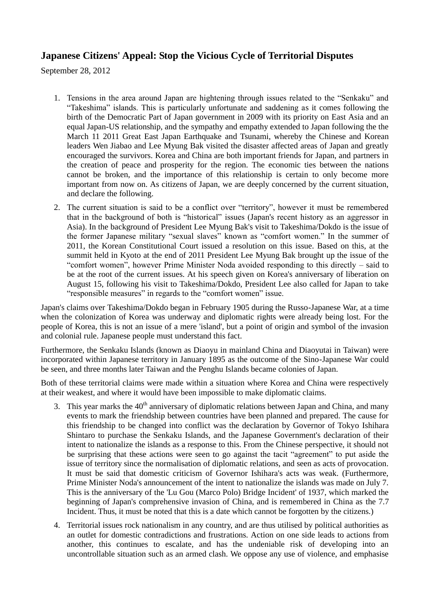## **Japanese Citizens' Appeal: Stop the Vicious Cycle of Territorial Disputes**

September 28, 2012

- 1. Tensions in the area around Japan are hightening through issues related to the "Senkaku" and "Takeshima" islands. This is particularly unfortunate and saddening as it comes following the birth of the Democratic Part of Japan government in 2009 with its priority on East Asia and an equal Japan-US relationship, and the sympathy and empathy extended to Japan following the the March 11 2011 Great East Japan Earthquake and Tsunami, whereby the Chinese and Korean leaders Wen Jiabao and Lee Myung Bak visited the disaster affected areas of Japan and greatly encouraged the survivors. Korea and China are both important friends for Japan, and partners in the creation of peace and prosperity for the region. The economic ties between the nations cannot be broken, and the importance of this relationship is certain to only become more important from now on. As citizens of Japan, we are deeply concerned by the current situation, and declare the following.
- 2. The current situation is said to be a conflict over "territory", however it must be remembered that in the background of both is "historical" issues (Japan's recent history as an aggressor in Asia). In the background of President Lee Myung Bak's visit to Takeshima/Dokdo is the issue of the former Japanese military "sexual slaves" known as "comfort women." In the summer of 2011, the Korean Constitutional Court issued a resolution on this issue. Based on this, at the summit held in Kyoto at the end of 2011 President Lee Myung Bak brought up the issue of the "comfort women", however Prime Minister Noda avoided responding to this directly – said to be at the root of the current issues. At his speech given on Korea's anniversary of liberation on August 15, following his visit to Takeshima/Dokdo, President Lee also called for Japan to take "responsible measures" in regards to the "comfort women" issue.

Japan's claims over Takeshima/Dokdo began in February 1905 during the Russo-Japanese War, at a time when the colonization of Korea was underway and diplomatic rights were already being lost. For the people of Korea, this is not an issue of a mere 'island', but a point of origin and symbol of the invasion and colonial rule. Japanese people must understand this fact.

Furthermore, the Senkaku Islands (known as Diaoyu in mainland China and Diaoyutai in Taiwan) were incorporated within Japanese territory in January 1895 as the outcome of the Sino-Japanese War could be seen, and three months later Taiwan and the Penghu Islands became colonies of Japan.

Both of these territorial claims were made within a situation where Korea and China were respectively at their weakest, and where it would have been impossible to make diplomatic claims.

- 3. This year marks the  $40<sup>th</sup>$  anniversary of diplomatic relations between Japan and China, and many events to mark the friendship between countries have been planned and prepared. The cause for this friendship to be changed into conflict was the declaration by Governor of Tokyo Ishihara Shintaro to purchase the Senkaku Islands, and the Japanese Government's declaration of their intent to nationalize the islands as a response to this. From the Chinese perspective, it should not be surprising that these actions were seen to go against the tacit "agreement" to put aside the issue of territory since the normalisation of diplomatic relations, and seen as acts of provocation. It must be said that domestic criticism of Governor Ishihara's acts was weak. (Furthermore, Prime Minister Noda's announcement of the intent to nationalize the islands was made on July 7. This is the anniversary of the 'Lu Gou (Marco Polo) Bridge Incident' of 1937, which marked the beginning of Japan's comprehensive invasion of China, and is remembered in China as the 7.7 Incident. Thus, it must be noted that this is a date which cannot be forgotten by the citizens.)
- 4. Territorial issues rock nationalism in any country, and are thus utilised by political authorities as an outlet for domestic contradictions and frustrations. Action on one side leads to actions from another, this continues to escalate, and has the undeniable risk of developing into an uncontrollable situation such as an armed clash. We oppose any use of violence, and emphasise